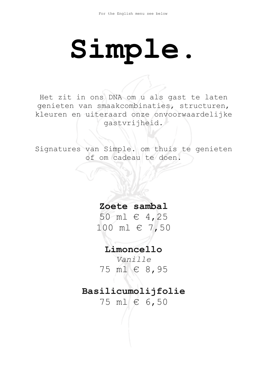# **Simple.**

Het zit in ons DNA om u als gast te laten genieten van smaakcombinaties, structuren, kleuren en uiteraard onze onvoorwaardelijke gastvrijheid.

Signatures van Simple. om thuis te genieten of om cadeau te doen.

**Zoete sambal**

50 ml € 4,25 100 ml € 7,50

**Limoncello**

*Vanille* 75 ml € 8,95

# **Basilicumolijfolie**

75 ml € 6,50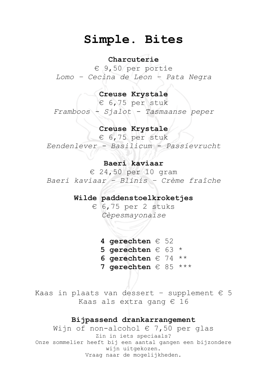# **Simple. Bites**

### **Charcuterie**

€ 9,50 per portie *Lomo – Cecina de Leon – Pata Negra*

## **Creuse Krystale**

€ 6,75 per stuk *Framboos - Sjalot - Tasmaanse peper*

# **Creuse Krystale**

€ 6,75 per stuk *Eendenlever - Basilicum - Passievrucht*

### **Baeri kaviaar**

€ 24,50 per 10 gram *Baeri kaviaar – Blinis – Crème fraîche*

#### **Wilde paddenstoelkroketjes**

€ 6,75 per 2 stuks *Cèpesmayonaise*

**4 gerechten** € 52 **5 gerechten** € 63 \* **6 gerechten** € 74 \*\* **7 gerechten** € 85 \*\*\*

Kaas in plaats van dessert - supplement  $\epsilon$  5 Kaas als extra gang € 16

## **Bijpassend drankarrangement**

Wijn of non-alcohol  $\in$  7,50 per glas Zin in iets speciaals? Onze sommelier heeft bij een aantal gangen een bijzondere wijn uitgekozen. Vraag naar de mogelijkheden.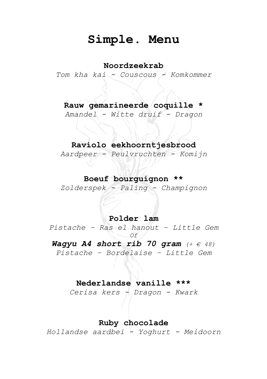# **Simple. Menu**

# **Noordzeekrab**

*Tom kha kai - Couscous - Komkommer*

# **Rauw gemarineerde coquille \***

*Amandel - Witte druif - Dragon*

# **Raviolo eekhoorntjesbrood**

*Aardpeer - Peulvruchten - Komijn*

# **Boeuf bourguignon \*\***

*Zolderspek - Paling - Champignon*

## **Polder lam**

*Pistache – Ras el hanout – Little Gem Of Wagyu A4 short rib 70 gram (+ € 48) Pistache – Bordelaise – Little Gem*

# **Nederlandse vanille \*\*\***

*Cerisa kers - Dragon - Kwark*

# **Ruby chocolade**

*Hollandse aardbei - Yoghurt - Meidoorn*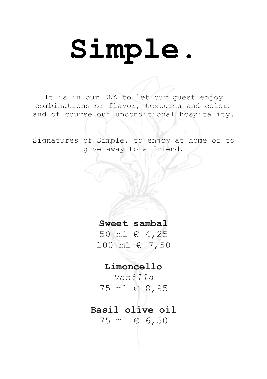# **Simple.**

It is in our DNA to let our guest enjoy combinations or flavor, textures and colors and of course our unconditional hospitality.

Signatures of Simple. to enjoy at home or to give away to a friend.

> **Sweet sambal** 50 ml € 4,25

100 ml € 7,50

**Limoncello**

*Vanilla* 75 ml € 8,95

# **Basil olive oil** 75 ml € 6,50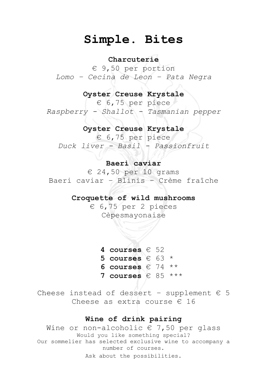# **Simple. Bites**

#### **Charcuterie**

€ 9,50 per portion *Lomo – Cecina de Leon – Pata Negra*

### **Oyster Creuse Krystale**

€ 6,75 per piece *Raspberry - Shallot - Tasmanian pepper*

## **Oyster Creuse Krystale**

€ 6,75 per piece *Duck liver - Basil - Passionfruit*

#### **Baeri caviar**

€ 24,50 per 10 grams Baeri caviar – Blinis – Crème fraîche

#### **Croquette of wild mushrooms**

€ 6,75 per 2 pieces Cèpesmayonaise

> **4 courses** € 52 **5 courses** € 63 \* **6 courses** € 74 \*\* **7 courses** € 85 \*\*\*

Cheese instead of dessert - supplement  $\epsilon$  5 Cheese as extra course € 16

# **Wine of drink pairing**

Wine or non-alcoholic  $\epsilon$  7,50 per glass Would you like something special? Our sommelier has selected exclusive wine to accompany a number of courses. Ask about the possibilities.